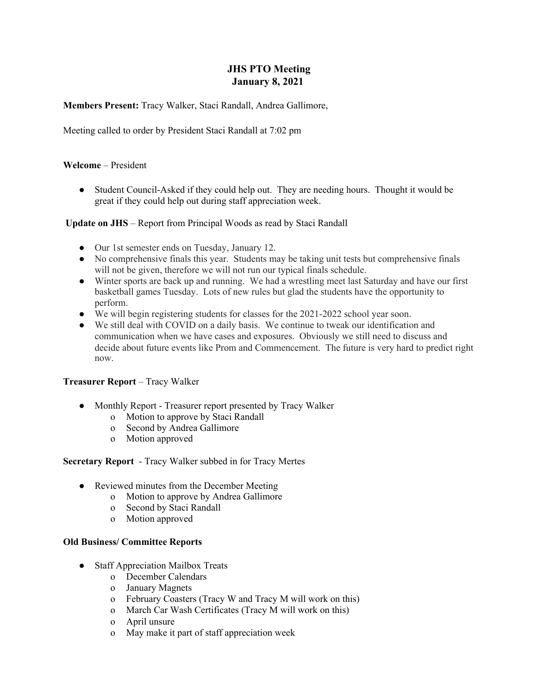# **JHS PTO Meeting January 8, 2021**

**Members Present:** Tracy Walker, Staci Randall, Andrea Gallimore,

Meeting called to order by President Staci Randall at 7:02 pm

#### **Welcome** – President

● Student Council-Asked if they could help out. They are needing hours. Thought it would be great if they could help out during staff appreciation week.

### **Update on JHS** – Report from Principal Woods as read by Staci Randall

- Our 1st semester ends on Tuesday, January 12.
- No comprehensive finals this year. Students may be taking unit tests but comprehensive finals will not be given, therefore we will not run our typical finals schedule.
- Winter sports are back up and running. We had a wrestling meet last Saturday and have our first basketball games Tuesday. Lots of new rules but glad the students have the opportunity to perform.
- We will begin registering students for classes for the 2021-2022 school year soon.
- We still deal with COVID on a daily basis. We continue to tweak our identification and communication when we have cases and exposures. Obviously we still need to discuss and decide about future events like Prom and Commencement. The future is very hard to predict right now.

#### **Treasurer Report** – Tracy Walker

- Monthly Report Treasurer report presented by Tracy Walker
	- o Motion to approve by Staci Randall
	- o Second by Andrea Gallimore
	- o Motion approved

#### **Secretary Report** - Tracy Walker subbed in for Tracy Mertes

- Reviewed minutes from the December Meeting
	- o Motion to approve by Andrea Gallimore
	- o Second by Staci Randall
	- o Motion approved

#### **Old Business/ Committee Reports**

- **●** Staff Appreciation Mailbox Treats
	- o December Calendars
	- o January Magnets
	- o February Coasters (Tracy W and Tracy M will work on this)
	- o March Car Wash Certificates (Tracy M will work on this)
	- o April unsure
	- o May make it part of staff appreciation week